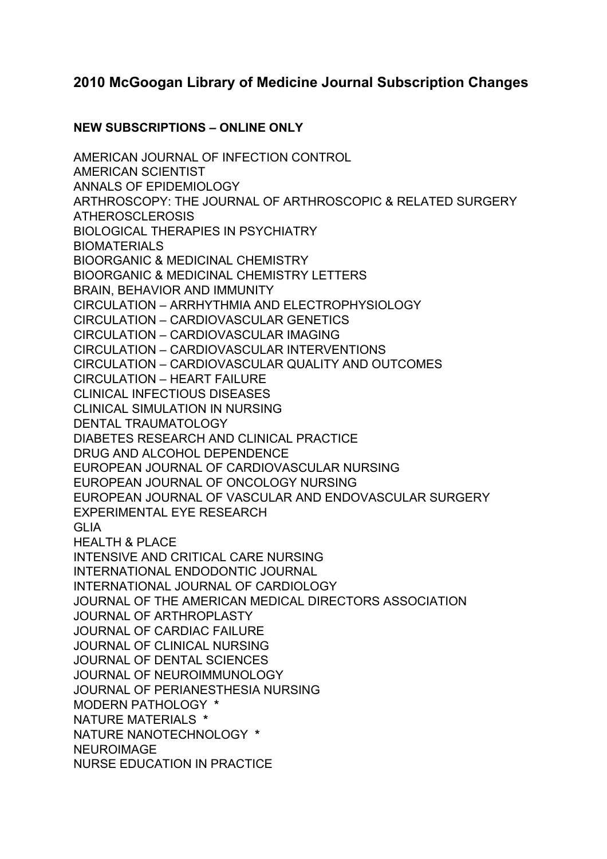# **2010 McGoogan Library of Medicine Journal Subscription Changes**

### **NEW SUBSCRIPTIONS – ONLINE ONLY**

AMERICAN JOURNAL OF INFECTION CONTROL AMERICAN SCIENTIST ANNALS OF EPIDEMIOLOGY ARTHROSCOPY: THE JOURNAL OF ARTHROSCOPIC & RELATED SURGERY ATHEROSCLEROSIS BIOLOGICAL THERAPIES IN PSYCHIATRY BIOMATERIALS BIOORGANIC & MEDICINAL CHEMISTRY BIOORGANIC & MEDICINAL CHEMISTRY LETTERS BRAIN, BEHAVIOR AND IMMUNITY CIRCULATION – ARRHYTHMIA AND ELECTROPHYSIOLOGY CIRCULATION – CARDIOVASCULAR GENETICS CIRCULATION – CARDIOVASCULAR IMAGING CIRCULATION – CARDIOVASCULAR INTERVENTIONS CIRCULATION – CARDIOVASCULAR QUALITY AND OUTCOMES CIRCULATION – HEART FAILURE CLINICAL INFECTIOUS DISEASES CLINICAL SIMULATION IN NURSING DENTAL TRAUMATOLOGY DIABETES RESEARCH AND CLINICAL PRACTICE DRUG AND ALCOHOL DEPENDENCE EUROPEAN JOURNAL OF CARDIOVASCULAR NURSING EUROPEAN JOURNAL OF ONCOLOGY NURSING EUROPEAN JOURNAL OF VASCULAR AND ENDOVASCULAR SURGERY EXPERIMENTAL EYE RESEARCH GLIA HEALTH & PLACE INTENSIVE AND CRITICAL CARE NURSING INTERNATIONAL ENDODONTIC JOURNAL INTERNATIONAL JOURNAL OF CARDIOLOGY JOURNAL OF THE AMERICAN MEDICAL DIRECTORS ASSOCIATION JOURNAL OF ARTHROPLASTY JOURNAL OF CARDIAC FAILURE JOURNAL OF CLINICAL NURSING JOURNAL OF DENTAL SCIENCES JOURNAL OF NEUROIMMUNOLOGY JOURNAL OF PERIANESTHESIA NURSING MODERN PATHOLOGY **\*** NATURE MATERIALS **\*** NATURE NANOTECHNOLOGY **\*** NEUROIMAGE NURSE EDUCATION IN PRACTICE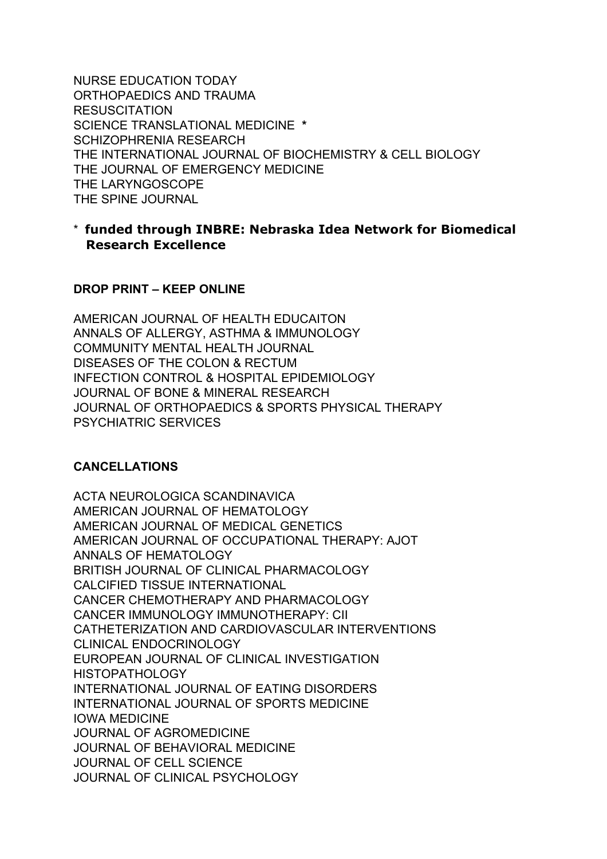NURSE EDUCATION TODAY ORTHOPAEDICS AND TRAUMA RESUSCITATION SCIENCE TRANSLATIONAL MEDICINE **\*** SCHIZOPHRENIA RESEARCH THE INTERNATIONAL JOURNAL OF BIOCHEMISTRY & CELL BIOLOGY THE JOURNAL OF EMERGENCY MEDICINE THE LARYNGOSCOPE THE SPINE JOURNAL

## \* **funded through INBRE: Nebraska Idea Network for Biomedical Research Excellence**

#### **DROP PRINT – KEEP ONLINE**

AMERICAN JOURNAL OF HEALTH EDUCAITON ANNALS OF ALLERGY, ASTHMA & IMMUNOLOGY COMMUNITY MENTAL HEALTH JOURNAL DISEASES OF THE COLON & RECTUM INFECTION CONTROL & HOSPITAL EPIDEMIOLOGY JOURNAL OF BONE & MINERAL RESEARCH JOURNAL OF ORTHOPAEDICS & SPORTS PHYSICAL THERAPY PSYCHIATRIC SERVICES

#### **CANCELLATIONS**

ACTA NEUROLOGICA SCANDINAVICA AMERICAN JOURNAL OF HEMATOLOGY AMERICAN JOURNAL OF MEDICAL GENETICS AMERICAN JOURNAL OF OCCUPATIONAL THERAPY: AJOT ANNALS OF HEMATOLOGY BRITISH JOURNAL OF CLINICAL PHARMACOLOGY CALCIFIED TISSUE INTERNATIONAL CANCER CHEMOTHERAPY AND PHARMACOLOGY CANCER IMMUNOLOGY IMMUNOTHERAPY: CII CATHETERIZATION AND CARDIOVASCULAR INTERVENTIONS CLINICAL ENDOCRINOLOGY EUROPEAN JOURNAL OF CLINICAL INVESTIGATION HISTOPATHOLOGY INTERNATIONAL JOURNAL OF EATING DISORDERS INTERNATIONAL JOURNAL OF SPORTS MEDICINE IOWA MEDICINE JOURNAL OF AGROMEDICINE JOURNAL OF BEHAVIORAL MEDICINE JOURNAL OF CELL SCIENCE JOURNAL OF CLINICAL PSYCHOLOGY